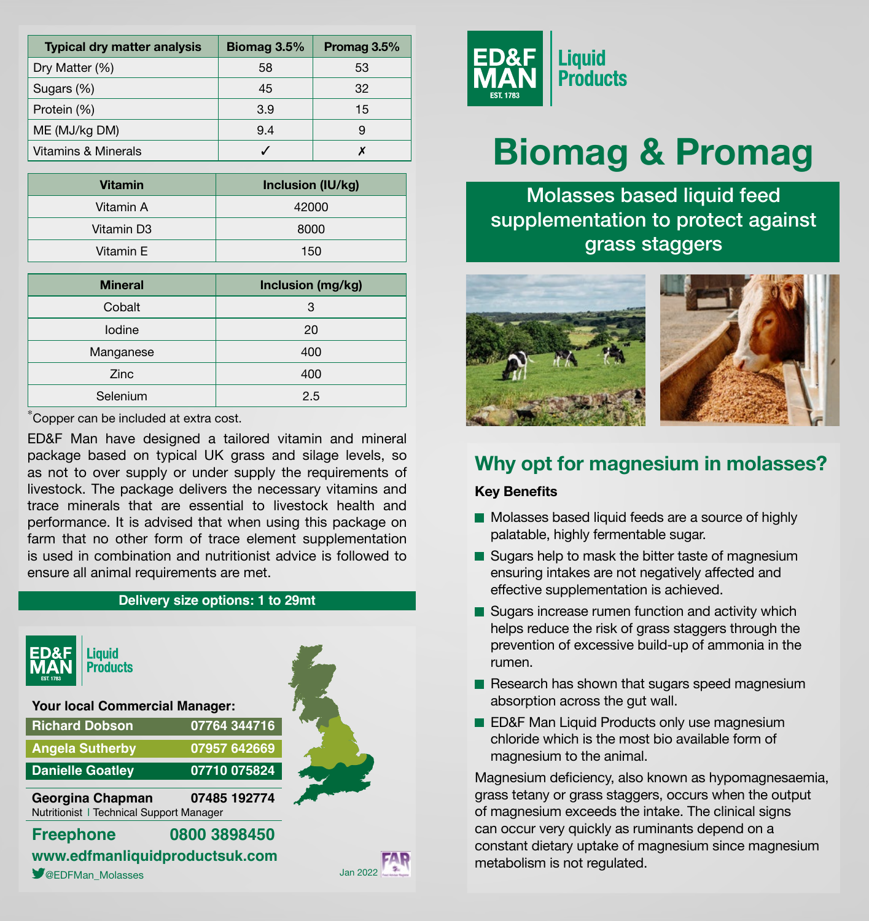| <b>Typical dry matter analysis</b> | Biomag 3.5% | Promag 3.5% |
|------------------------------------|-------------|-------------|
| Dry Matter (%)                     | 58          | 53          |
| Sugars (%)                         | 45          | 32          |
| Protein (%)                        | 3.9         | 15          |
| ME (MJ/kg DM)                      | 9.4         |             |
| <b>Vitamins &amp; Minerals</b>     |             |             |

| <b>Vitamin</b> | Inclusion (IU/kg) |  |
|----------------|-------------------|--|
| Vitamin A      | 42000             |  |
| Vitamin D3     | 8000              |  |
| Vitamin E      | 150               |  |

| <b>Mineral</b> | Inclusion (mg/kg) |
|----------------|-------------------|
| Cobalt         | 3                 |
| lodine         | 20                |
| Manganese      | 400               |
| Zinc           | 400               |
| Selenium       | 2.5               |

\*Copper can be included at extra cost.

ED&F Man have designed a tailored vitamin and mineral package based on typical UK grass and silage levels, so as not to over supply or under supply the requirements of livestock. The package delivers the necessary vitamins and trace minerals that are essential to livestock health and performance. It is advised that when using this package on farm that no other form of trace element supplementation is used in combination and nutritionist advice is followed to ensure all animal requirements are met.

#### **Delivery size options: 1 to 29mt**

| ED&F<br><b>Liquid</b><br><b>Products</b><br><b>FST 1783</b>  |              |  |
|--------------------------------------------------------------|--------------|--|
| <b>Your local Commercial Manager:</b>                        |              |  |
| <b>Richard Dobson</b>                                        | 07764 344716 |  |
| <b>Angela Sutherby</b>                                       | 07957 642669 |  |
| <b>Danielle Goatley</b>                                      | 07710 075824 |  |
| Georgina Chapman<br>Nutritionist   Technical Support Manager | 07485 192774 |  |
| <b>Freephone</b>                                             | 0800 3898450 |  |
| www.edfmanliquidproductsuk.com                               |              |  |

**SEDFMan\_Molasses** Jan 2022





# **Biomag & Promag**

Molasses based liquid feed supplementation to protect against grass staggers



# **Why opt for magnesium in molasses?**

### **Key Benefits**

- Molasses based liquid feeds are a source of highly palatable, highly fermentable sugar.
- Sugars help to mask the bitter taste of magnesium ensuring intakes are not negatively affected and effective supplementation is achieved.
- Sugars increase rumen function and activity which helps reduce the risk of grass staggers through the prevention of excessive build-up of ammonia in the rumen.
- $\blacksquare$  Research has shown that sugars speed magnesium absorption across the gut wall.
- **ED&F Man Liquid Products only use magnesium** chloride which is the most bio available form of magnesium to the animal.

Magnesium deficiency, also known as hypomagnesaemia, grass tetany or grass staggers, occurs when the output of magnesium exceeds the intake. The clinical signs can occur very quickly as ruminants depend on a constant dietary uptake of magnesium since magnesium metabolism is not regulated.